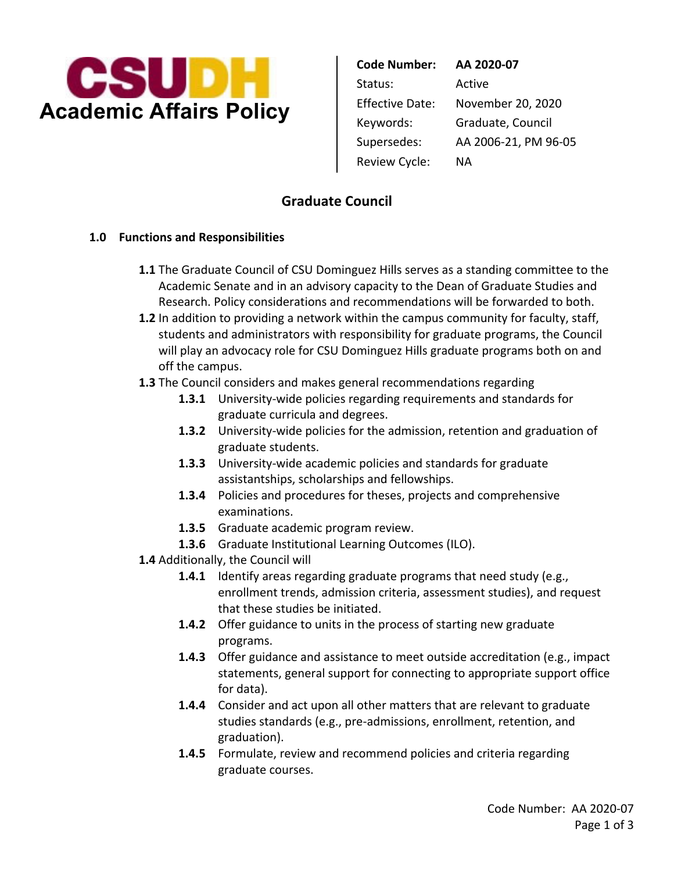

 Review Cycle: NA **Code Number: AA 2020-07**  Status: Active Effective Date: November 20, 2020 Keywords: Graduate, Council Supersedes: AA 2006-21, PM 96-05

# **Graduate Council**

## **1.0 Functions and Responsibilities**

- **1.1** The Graduate Council of CSU Dominguez Hills serves as a standing committee to the Academic Senate and in an advisory capacity to the Dean of Graduate Studies and Research. Policy considerations and recommendations will be forwarded to both.
- **1.2** In addition to providing a network within the campus community for faculty, staff, students and administrators with responsibility for graduate programs, the Council will play an advocacy role for CSU Dominguez Hills graduate programs both on and off the campus.
- **1.3** The Council considers and makes general recommendations regarding
	- **1.3.1** University-wide policies regarding requirements and standards for graduate curricula and degrees.
	- **1.3.2** University-wide policies for the admission, retention and graduation of graduate students.
	- **1.3.3** University-wide academic policies and standards for graduate assistantships, scholarships and fellowships.
	- **1.3.4** Policies and procedures for theses, projects and comprehensive examinations.
	- **1.3.5** Graduate academic program review.
	- **1.3.6** Graduate Institutional Learning Outcomes (ILO).
- **1.4** Additionally, the Council will
	- **1.4.1** Identify areas regarding graduate programs that need study (e.g., enrollment trends, admission criteria, assessment studies), and request that these studies be initiated.
	- **1.4.2** Offer guidance to units in the process of starting new graduate programs.
	- **1.4.3** Offer guidance and assistance to meet outside accreditation (e.g., impact statements, general support for connecting to appropriate support office for data).
	- **1.4.4** Consider and act upon all other matters that are relevant to graduate studies standards (e.g., pre-admissions, enrollment, retention, and graduation).
	- **1.4.5** Formulate, review and recommend policies and criteria regarding graduate courses.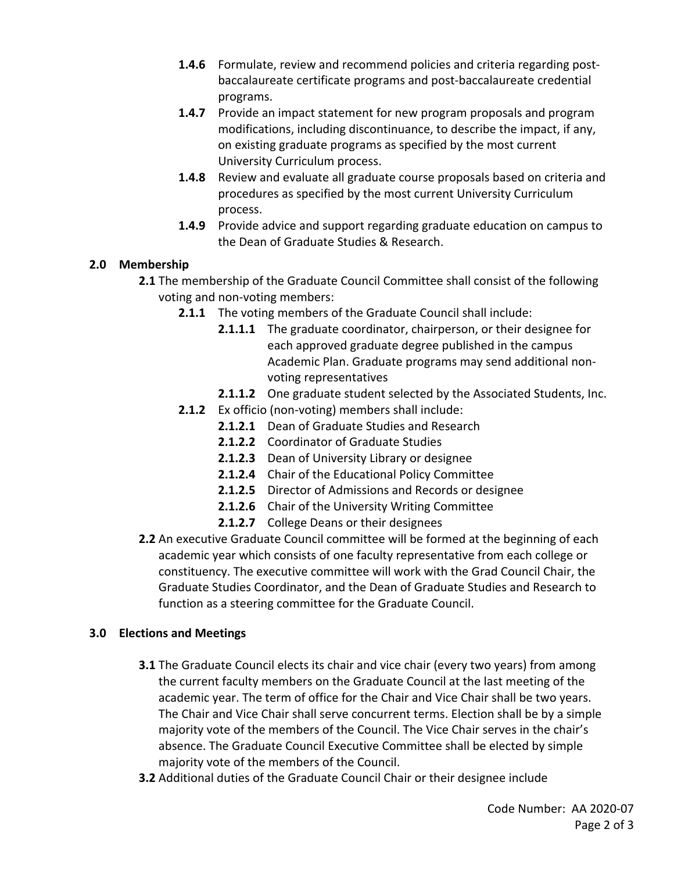- **1.4.6** Formulate, review and recommend policies and criteria regarding post- baccalaureate certificate programs and post-baccalaureate credential programs.
- **1.4.7** Provide an impact statement for new program proposals and program modifications, including discontinuance, to describe the impact, if any, on existing graduate programs as specified by the most current University Curriculum process.
- **1.4.8** Review and evaluate all graduate course proposals based on criteria and procedures as specified by the most current University Curriculum process.
- **1.4.9** Provide advice and support regarding graduate education on campus to the Dean of Graduate Studies & Research.

## **2.0 Membership**

- **2.1** The membership of the Graduate Council Committee shall consist of the following voting and non-voting members:
	- **2.1.1** The voting members of the Graduate Council shall include:
		- **2.1.1.1** The graduate coordinator, chairperson, or their designee for each approved graduate degree published in the campus Academic Plan. Graduate programs may send additional nonvoting representatives
		- **2.1.1.2** One graduate student selected by the Associated Students, Inc.
	- **2.1.2** Ex officio (non-voting) members shall include:
		- **2.1.2.1** Dean of Graduate Studies and Research
		- **2.1.2.2** Coordinator of Graduate Studies
		- **2.1.2.3** Dean of University Library or designee
		- **2.1.2.4** Chair of the Educational Policy Committee
		- **2.1.2.5** Director of Admissions and Records or designee
		- **2.1.2.6** Chair of the University Writing Committee
		- **2.1.2.7** College Deans or their designees
- **2.2** An executive Graduate Council committee will be formed at the beginning of each academic year which consists of one faculty representative from each college or constituency. The executive committee will work with the Grad Council Chair, the Graduate Studies Coordinator, and the Dean of Graduate Studies and Research to function as a steering committee for the Graduate Council.

#### **3.0 Elections and Meetings**

- **3.1** The Graduate Council elects its chair and vice chair (every two years) from among the current faculty members on the Graduate Council at the last meeting of the academic year. The term of office for the Chair and Vice Chair shall be two years. The Chair and Vice Chair shall serve concurrent terms. Election shall be by a simple majority vote of the members of the Council. The Vice Chair serves in the chair's absence. The Graduate Council Executive Committee shall be elected by simple majority vote of the members of the Council.
- **3.2** Additional duties of the Graduate Council Chair or their designee include